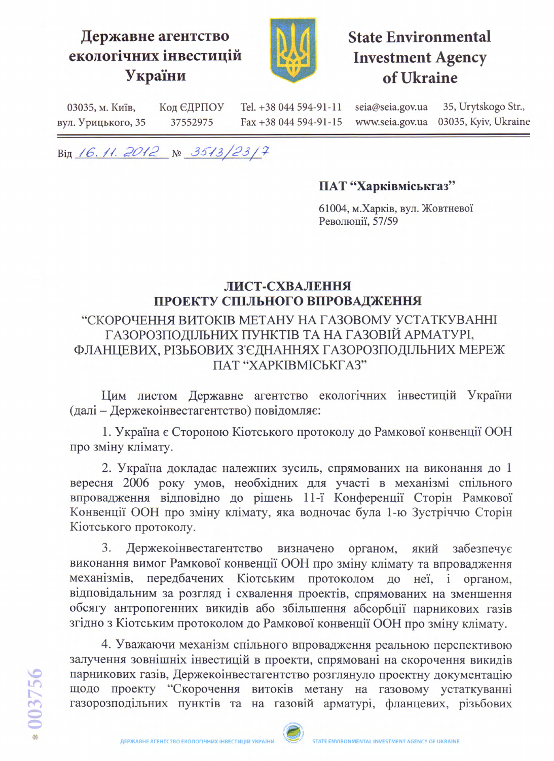## Державне агентство екологічних інвестицій України



# **State Environmental Investment Agency** of Ukraine

seia@seia.gov.ua Tel. +38 044 594-91-11 35, Urytskogo Str., 03035, м. Київ, Код ЄДРПОУ 03035, Kyiv, Ukraine www.seia.gov.ua вул. Урицького, 35 37552975 Fax +38 044 594-91-15

Від 16.11.2012 № 3513/23/7

#### ПАТ "Харківміськгаз"

61004, м. Харків, вул. Жовтневої Революції, 57/59

#### ЛИСТ-СХВАЛЕННЯ ПРОЕКТУ СПІЛЬНОГО ВПРОВАДЖЕННЯ

### "СКОРОЧЕННЯ ВИТОКІВ МЕТАНУ НА ГАЗОВОМУ УСТАТКУВАННІ ГАЗОРОЗПОДІЛЬНИХ ПУНКТІВ ТА НА ГАЗОВІЙ АРМАТУРІ, ФЛАНЦЕВИХ, РІЗЬБОВИХ З'ЄДНАННЯХ ГАЗОРОЗПОДІЛЬНИХ МЕРЕЖ ПАТ "ХАРКІВМІСЬКГАЗ"

Цим листом Державне агентство екологічних інвестицій України (далі - Держекоінвестагентство) повідомляє:

1. Україна є Стороною Кіотського протоколу до Рамкової конвенції ООН про зміну клімату.

2. Україна докладає належних зусиль, спрямованих на виконання до 1 вересня 2006 року умов, необхідних для участі в механізмі спільного впровадження відповідно до рішень 11-ї Конференції Сторін Рамкової Конвенції ООН про зміну клімату, яка водночас була 1-ю Зустріччю Сторін Кіотського протоколу.

3. Держекоінвестагентство визначено органом, який забезпечує виконання вимог Рамкової конвенції ООН про зміну клімату та впровадження механізмів. передбачених Кіотським протоколом до неї, і органом, відповідальним за розгляд і схвалення проектів, спрямованих на зменшення обсягу антропогенних викидів або збільшення абсорбції парникових газів згідно з Кіотським протоколом до Рамкової конвенції ООН про зміну клімату.

4. Уважаючи механізм спільного впровадження реальною перспективою залучення зовнішніх інвестицій в проекти, спрямовані на скорочення викидів парникових газів, Держекоінвестагентство розглянуло проектну документацію щодо проекту "Скорочення витоків метану на газовому устаткуванні газорозподільних пунктів та на газовій арматурі, фланцевих, різьбових